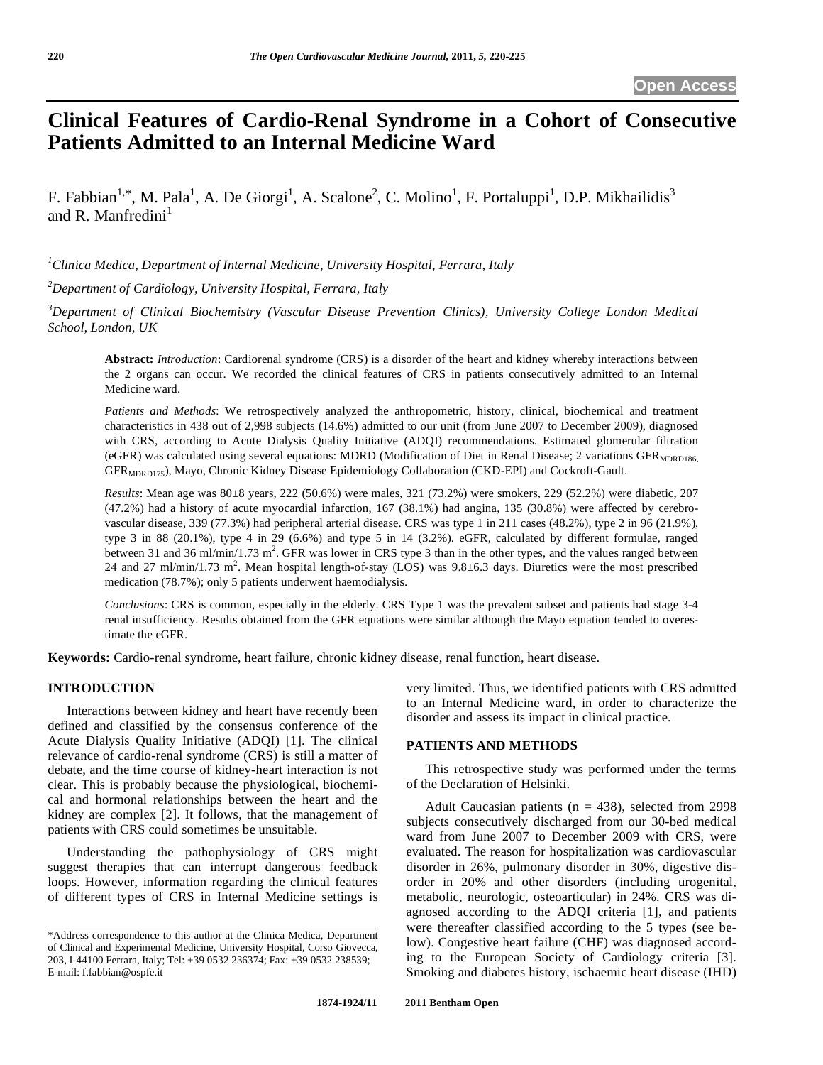# **Clinical Features of Cardio-Renal Syndrome in a Cohort of Consecutive Patients Admitted to an Internal Medicine Ward**

F. Fabbian<sup>1,\*</sup>, M. Pala<sup>1</sup>, A. De Giorgi<sup>1</sup>, A. Scalone<sup>2</sup>, C. Molino<sup>1</sup>, F. Portaluppi<sup>1</sup>, D.P. Mikhailidis<sup>3</sup> and R. Manfredini $<sup>1</sup>$ </sup>

*1 Clinica Medica, Department of Internal Medicine, University Hospital, Ferrara, Italy* 

*2 Department of Cardiology, University Hospital, Ferrara, Italy* 

*3 Department of Clinical Biochemistry (Vascular Disease Prevention Clinics), University College London Medical School, London, UK* 

**Abstract:** *Introduction*: Cardiorenal syndrome (CRS) is a disorder of the heart and kidney whereby interactions between the 2 organs can occur. We recorded the clinical features of CRS in patients consecutively admitted to an Internal Medicine ward.

*Patients and Methods*: We retrospectively analyzed the anthropometric, history, clinical, biochemical and treatment characteristics in 438 out of 2,998 subjects (14.6%) admitted to our unit (from June 2007 to December 2009), diagnosed with CRS, according to Acute Dialysis Quality Initiative (ADQI) recommendations. Estimated glomerular filtration (eGFR) was calculated using several equations: MDRD (Modification of Diet in Renal Disease; 2 variations GFR<sub>MDRD186</sub>, GFR<sub>MDRD175</sub>), Mayo, Chronic Kidney Disease Epidemiology Collaboration (CKD-EPI) and Cockroft-Gault.

*Results*: Mean age was 80±8 years, 222 (50.6%) were males, 321 (73.2%) were smokers, 229 (52.2%) were diabetic, 207 (47.2%) had a history of acute myocardial infarction, 167 (38.1%) had angina, 135 (30.8%) were affected by cerebrovascular disease, 339 (77.3%) had peripheral arterial disease. CRS was type 1 in 211 cases (48.2%), type 2 in 96 (21.9%), type 3 in 88 (20.1%), type 4 in 29 (6.6%) and type 5 in 14 (3.2%). eGFR, calculated by different formulae, ranged between 31 and 36 ml/min/1.73 m<sup>2</sup>. GFR was lower in CRS type 3 than in the other types, and the values ranged between 24 and 27 ml/min/1.73 m<sup>2</sup>. Mean hospital length-of-stay (LOS) was 9.8±6.3 days. Diuretics were the most prescribed medication (78.7%); only 5 patients underwent haemodialysis.

*Conclusions*: CRS is common, especially in the elderly. CRS Type 1 was the prevalent subset and patients had stage 3-4 renal insufficiency. Results obtained from the GFR equations were similar although the Mayo equation tended to overestimate the eGFR.

**Keywords:** Cardio-renal syndrome, heart failure, chronic kidney disease, renal function, heart disease.

## **INTRODUCTION**

 Interactions between kidney and heart have recently been defined and classified by the consensus conference of the Acute Dialysis Quality Initiative (ADQI) [1]. The clinical relevance of cardio-renal syndrome (CRS) is still a matter of debate, and the time course of kidney-heart interaction is not clear. This is probably because the physiological, biochemical and hormonal relationships between the heart and the kidney are complex [2]. It follows, that the management of patients with CRS could sometimes be unsuitable.

 Understanding the pathophysiology of CRS might suggest therapies that can interrupt dangerous feedback loops. However, information regarding the clinical features of different types of CRS in Internal Medicine settings is very limited. Thus, we identified patients with CRS admitted to an Internal Medicine ward, in order to characterize the disorder and assess its impact in clinical practice.

#### **PATIENTS AND METHODS**

 This retrospective study was performed under the terms of the Declaration of Helsinki.

Adult Caucasian patients ( $n = 438$ ), selected from 2998 subjects consecutively discharged from our 30-bed medical ward from June 2007 to December 2009 with CRS, were evaluated. The reason for hospitalization was cardiovascular disorder in 26%, pulmonary disorder in 30%, digestive disorder in 20% and other disorders (including urogenital, metabolic, neurologic, osteoarticular) in 24%. CRS was diagnosed according to the ADQI criteria [1], and patients were thereafter classified according to the 5 types (see below). Congestive heart failure (CHF) was diagnosed according to the European Society of Cardiology criteria [3]. Smoking and diabetes history, ischaemic heart disease (IHD)

<sup>\*</sup>Address correspondence to this author at the Clinica Medica, Department of Clinical and Experimental Medicine, University Hospital, Corso Giovecca, 203, I-44100 Ferrara, Italy; Tel: +39 0532 236374; Fax: +39 0532 238539; E-mail: f.fabbian@ospfe.it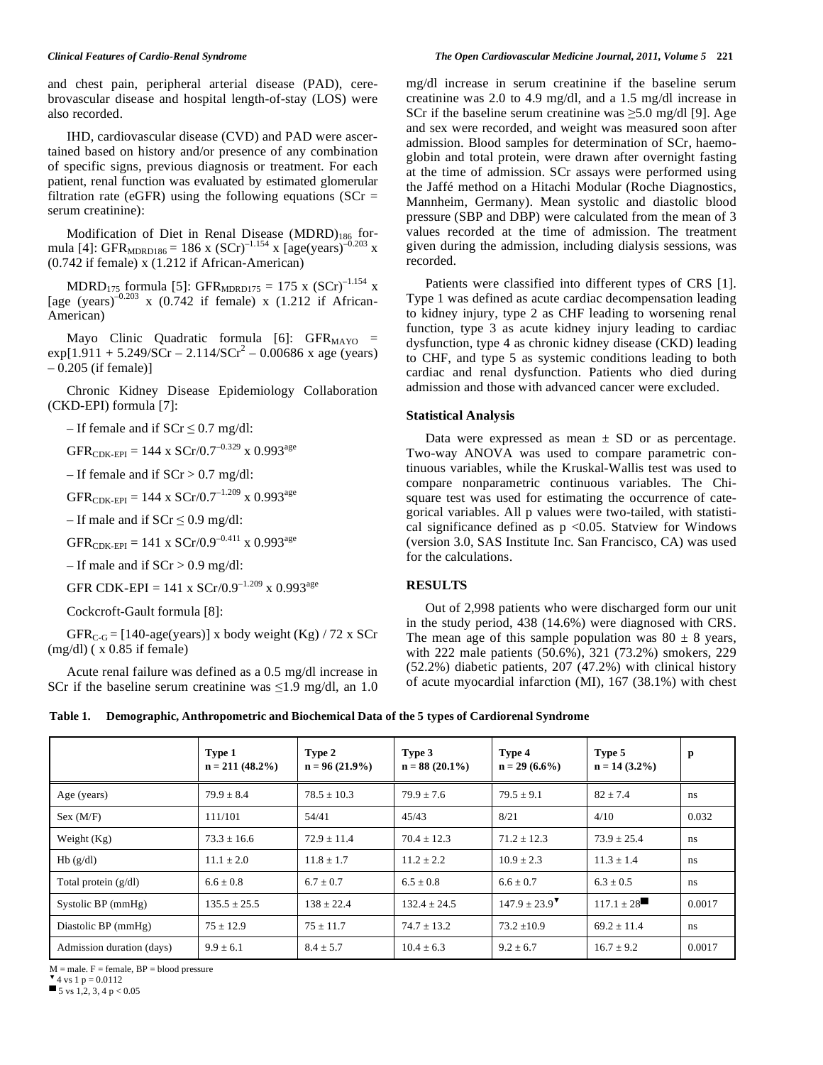and chest pain, peripheral arterial disease (PAD), cerebrovascular disease and hospital length-of-stay (LOS) were also recorded.

 IHD, cardiovascular disease (CVD) and PAD were ascertained based on history and/or presence of any combination of specific signs, previous diagnosis or treatment. For each patient, renal function was evaluated by estimated glomerular filtration rate (eGFR) using the following equations ( $SCF =$ serum creatinine):

Modification of Diet in Renal Disease  $(MDRD)_{186}$  formula [4]: GFR<sub>MDRD186</sub> = 186 x (SCr)<sup>-1.154</sup> x [age(years)<sup>-0.203</sup> x (0.742 if female) x (1.212 if African-American)

MDRD<sub>175</sub> formula [5]: GFR<sub>MDRD175</sub> = 175 x (SCr)<sup>-1.154</sup> x [age (years)<sup>-0.203</sup> x (0.742 if female) x (1.212 if African-American)

Mayo Clinic Quadratic formula  $[6]$ : GFR $_{\text{MAYO}}$  =  $\exp[1.911 + 5.249/\text{SCr} - 2.114/\text{SCr}^2 - 0.00686 \text{ x age (years)}]$  $-0.205$  (if female)]

 Chronic Kidney Disease Epidemiology Collaboration (CKD-EPI) formula [7]:

– If female and if  $SCr \leq 0.7$  mg/dl:

 $GFR_{CDK-FPI} = 144 \times SCr/0.7^{-0.329} \times 0.993^{\text{age}}$ 

– If female and if  $SCr > 0.7$  mg/dl:

 $GFR_{CDK-EPI} = 144 \times SCr/0.7^{-1.209} \times 0.993^{\text{age}}$ 

– If male and if  $SCr \leq 0.9$  mg/dl:

 $GFR_{CDK-EPI} = 141 \times SCr/0.9^{-0.411} \times 0.993^{age}$ 

– If male and if  $SCr > 0.9$  mg/dl:

GFR CDK-EPI = 141 x SCr/0.9<sup>-1.209</sup> x 0.993<sup>age</sup>

Cockcroft-Gault formula [8]:

GFR<sub>C-G</sub> = [140-age(years)] x body weight (Kg) / 72 x SCr (mg/dl) ( x 0.85 if female)

 Acute renal failure was defined as a 0.5 mg/dl increase in SCr if the baseline serum creatinine was  $\leq$ 1.9 mg/dl, an 1.0 mg/dl increase in serum creatinine if the baseline serum creatinine was 2.0 to 4.9 mg/dl, and a 1.5 mg/dl increase in SCr if the baseline serum creatinine was  $\geq$ 5.0 mg/dl [9]. Age and sex were recorded, and weight was measured soon after admission. Blood samples for determination of SCr, haemoglobin and total protein, were drawn after overnight fasting at the time of admission. SCr assays were performed using the Jaffé method on a Hitachi Modular (Roche Diagnostics, Mannheim, Germany). Mean systolic and diastolic blood pressure (SBP and DBP) were calculated from the mean of 3 values recorded at the time of admission. The treatment given during the admission, including dialysis sessions, was recorded.

 Patients were classified into different types of CRS [1]. Type 1 was defined as acute cardiac decompensation leading to kidney injury, type 2 as CHF leading to worsening renal function, type 3 as acute kidney injury leading to cardiac dysfunction, type 4 as chronic kidney disease (CKD) leading to CHF, and type 5 as systemic conditions leading to both cardiac and renal dysfunction. Patients who died during admission and those with advanced cancer were excluded.

#### **Statistical Analysis**

Data were expressed as mean  $\pm$  SD or as percentage. Two-way ANOVA was used to compare parametric continuous variables, while the Kruskal-Wallis test was used to compare nonparametric continuous variables. The Chisquare test was used for estimating the occurrence of categorical variables. All p values were two-tailed, with statistical significance defined as  $p \le 0.05$ . Statview for Windows (version 3.0, SAS Institute Inc. San Francisco, CA) was used for the calculations.

### **RESULTS**

 Out of 2,998 patients who were discharged form our unit in the study period, 438 (14.6%) were diagnosed with CRS. The mean age of this sample population was  $80 \pm 8$  years, with 222 male patients (50.6%), 321 (73.2%) smokers, 229 (52.2%) diabetic patients, 207 (47.2%) with clinical history of acute myocardial infarction (MI), 167 (38.1%) with chest

| Table 1. | Demographic, Anthropometric and Biochemical Data of the 5 types of Cardiorenal Syndrome |  |  |  |
|----------|-----------------------------------------------------------------------------------------|--|--|--|
|          |                                                                                         |  |  |  |

|                           | Type 1<br>$n = 211(48.2\%)$ | Type 2<br>$n = 96(21.9\%)$ | Type 3<br>$n = 88(20.1\%)$ | Type 4<br>$n = 29(6.6\%)$     | Type 5<br>$n = 14$ (3.2%) | p      |
|---------------------------|-----------------------------|----------------------------|----------------------------|-------------------------------|---------------------------|--------|
| Age (years)               | $79.9 \pm 8.4$              | $78.5 \pm 10.3$            | $79.9 \pm 7.6$             | $79.5 \pm 9.1$                | $82 \pm 7.4$              | ns     |
| Sex (M/F)                 | 111/101                     | 54/41                      | 45/43                      | 8/21                          | 4/10                      | 0.032  |
| Weight $(Kg)$             | $73.3 \pm 16.6$             | $72.9 \pm 11.4$            | $70.4 \pm 12.3$            | $71.2 \pm 12.3$               | $73.9 \pm 25.4$           | ns     |
| Hb(g/dl)                  | $11.1 + 2.0$                | $11.8 \pm 1.7$             | $11.2 + 2.2$               | $10.9 + 2.3$                  | $11.3 \pm 1.4$            | ns     |
| Total protein $(g/dl)$    | $6.6 \pm 0.8$               | $6.7 \pm 0.7$              | $6.5 \pm 0.8$              | $6.6 + 0.7$                   | $6.3 \pm 0.5$             | ns     |
| Systolic BP (mmHg)        | $135.5 \pm 25.5$            | $138 + 22.4$               | $132.4 + 24.5$             | $147.9 \pm 23.9$ <sup>V</sup> | $117.1 + 28$              | 0.0017 |
| Diastolic BP (mmHg)       | $75 \pm 12.9$               | $75 \pm 11.7$              | $74.7 \pm 13.2$            | $73.2 \pm 10.9$               | $69.2 \pm 11.4$           | ns     |
| Admission duration (days) | $9.9 \pm 6.1$               | $8.4 \pm 5.7$              | $10.4 \pm 6.3$             | $9.2 \pm 6.7$                 | $16.7 \pm 9.2$            | 0.0017 |

 $M =$  male.  $F =$  female,  $BP =$  blood pressure

4 vs  $1 p = 0.0112$ 

 $\blacksquare$  5 vs 1,2, 3, 4 p < 0.05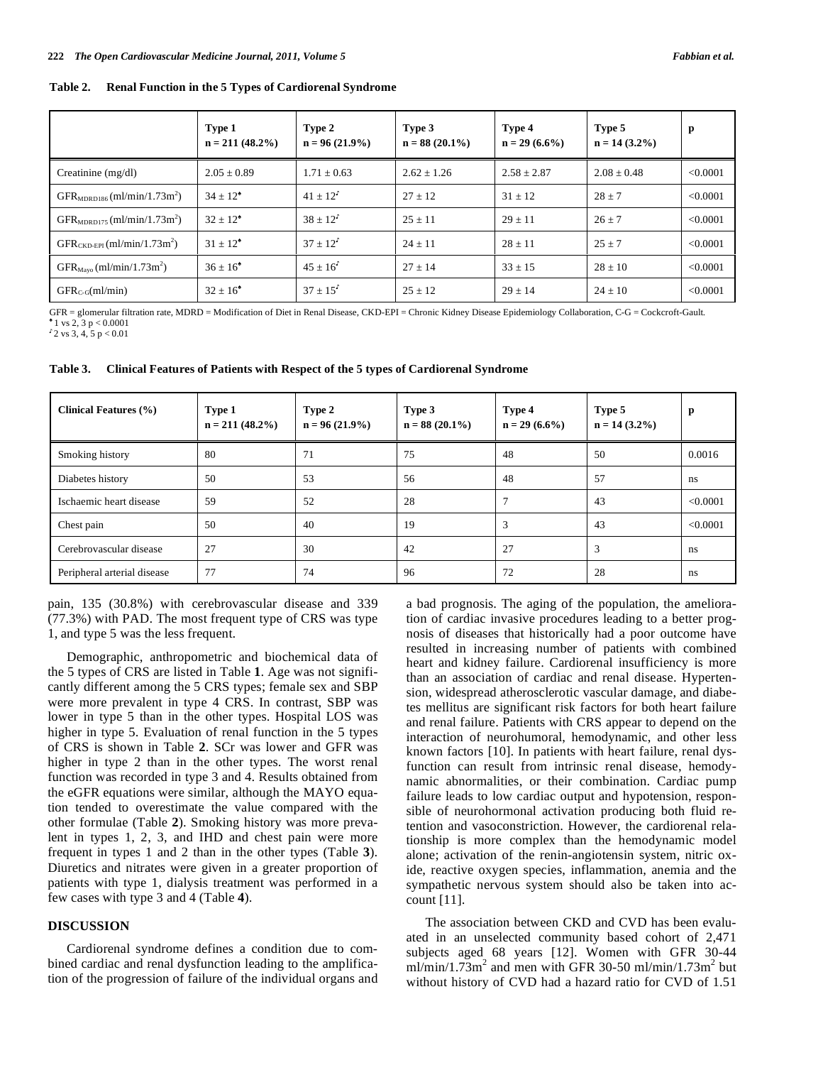**Table 2. Renal Function in the 5 Types of Cardiorenal Syndrome**

|                                           | Type 1<br>$n = 211(48.2\%)$ | Type 2<br>$n = 96(21.9\%)$ | Type 3<br>$n = 88(20.1\%)$ | Type 4<br>$n = 29(6.6\%)$ | Type 5<br>$n = 14(3.2\%)$ | p        |
|-------------------------------------------|-----------------------------|----------------------------|----------------------------|---------------------------|---------------------------|----------|
| Creatinine $(mg/dl)$                      | $2.05 \pm 0.89$             | $1.71 \pm 0.63$            | $2.62 + 1.26$              | $2.58 \pm 2.87$           | $2.08 \pm 0.48$           | < 0.0001 |
| $GFRMDRD186 (ml/min/1.73m2)$              | $34 + 12^*$                 | $41 + 12^{5}$              | $27 + 12$                  | $31 \pm 12$               | $28 \pm 7$                | < 0.0001 |
| $GFRMDRD175 (ml/min/1.73m2)$              | $32 + 12^*$                 | $38 + 12^{5}$              | $25 + 11$                  | $29 \pm 11$               | $26 + 7$                  | <0.0001  |
| $GFR_{CKD-FPI}(ml/min/1.73m^2)$           | $31 + 12^*$                 | $37 + 12^5$                | $24 + 11$                  | $28 \pm 11$               | $25 \pm 7$                | < 0.0001 |
| $GFR_{Mavo}$ (ml/min/1.73m <sup>2</sup> ) | $36 + 16^{\circ}$           | $45 + 16^{5}$              | $27 \pm 14$                | $33 \pm 15$               | $28 \pm 10$               | < 0.0001 |
| $GFR_{C_2G}(ml/min)$                      | $32 + 16^{\circ}$           | $37 + 15^{5}$              | $25 \pm 12$                | $29 + 14$                 | $24 \pm 10$               | <0.0001  |

GFR = glomerular filtration rate, MDRD = Modification of Diet in Renal Disease, CKD-EPI = Chronic Kidney Disease Epidemiology Collaboration, C-G = Cockcroft-Gault.  $\cdot$  1 vs 2, 3 p < 0.0001

 $x^2$  vs 3, 4, 5 p < 0.01

**Table 3. Clinical Features of Patients with Respect of the 5 types of Cardiorenal Syndrome** 

| <b>Clinical Features (%)</b> | Type 1<br>$n = 211(48.2\%)$ | Type 2<br>$n = 96(21.9\%)$ | Type 3<br>$n = 88(20.1\%)$ | Type 4<br>$n = 29(6.6\%)$ | Type 5<br>$n = 14$ (3.2%) | $\mathbf{p}$ |
|------------------------------|-----------------------------|----------------------------|----------------------------|---------------------------|---------------------------|--------------|
| Smoking history              | 80                          | 71                         | 75                         | 48                        | 50                        | 0.0016       |
| Diabetes history             | 50                          | 53                         | 56                         | 48                        | 57                        | ns           |
| Ischaemic heart disease      | 59                          | 52                         | 28                         | 7                         | 43                        | < 0.0001     |
| Chest pain                   | 50                          | 40                         | 19                         | 3                         | 43                        | < 0.0001     |
| Cerebrovascular disease      | 27                          | 30                         | 42                         | 27                        | 3                         | ns           |
| Peripheral arterial disease  | 77                          | 74                         | 96                         | 72                        | 28                        | ns           |

pain, 135 (30.8%) with cerebrovascular disease and 339 (77.3%) with PAD. The most frequent type of CRS was type 1, and type 5 was the less frequent.

 Demographic, anthropometric and biochemical data of the 5 types of CRS are listed in Table **1**. Age was not significantly different among the 5 CRS types; female sex and SBP were more prevalent in type 4 CRS. In contrast, SBP was lower in type 5 than in the other types. Hospital LOS was higher in type 5. Evaluation of renal function in the 5 types of CRS is shown in Table **2**. SCr was lower and GFR was higher in type 2 than in the other types. The worst renal function was recorded in type 3 and 4. Results obtained from the eGFR equations were similar, although the MAYO equation tended to overestimate the value compared with the other formulae (Table **2**). Smoking history was more prevalent in types 1, 2, 3, and IHD and chest pain were more frequent in types 1 and 2 than in the other types (Table **3**). Diuretics and nitrates were given in a greater proportion of patients with type 1, dialysis treatment was performed in a few cases with type 3 and 4 (Table **4**).

#### **DISCUSSION**

 Cardiorenal syndrome defines a condition due to combined cardiac and renal dysfunction leading to the amplification of the progression of failure of the individual organs and a bad prognosis. The aging of the population, the amelioration of cardiac invasive procedures leading to a better prognosis of diseases that historically had a poor outcome have resulted in increasing number of patients with combined heart and kidney failure. Cardiorenal insufficiency is more than an association of cardiac and renal disease. Hypertension, widespread atherosclerotic vascular damage, and diabetes mellitus are significant risk factors for both heart failure and renal failure. Patients with CRS appear to depend on the interaction of neurohumoral, hemodynamic, and other less known factors [10]. In patients with heart failure, renal dysfunction can result from intrinsic renal disease, hemodynamic abnormalities, or their combination. Cardiac pump failure leads to low cardiac output and hypotension, responsible of neurohormonal activation producing both fluid retention and vasoconstriction. However, the cardiorenal relationship is more complex than the hemodynamic model alone; activation of the renin-angiotensin system, nitric oxide, reactive oxygen species, inflammation, anemia and the sympathetic nervous system should also be taken into account [11].

 The association between CKD and CVD has been evaluated in an unselected community based cohort of 2,471 subjects aged 68 years [12]. Women with GFR 30-44 ml/min/1.73m<sup>2</sup> and men with GFR 30-50 ml/min/1.73m<sup>2</sup> but without history of CVD had a hazard ratio for CVD of 1.51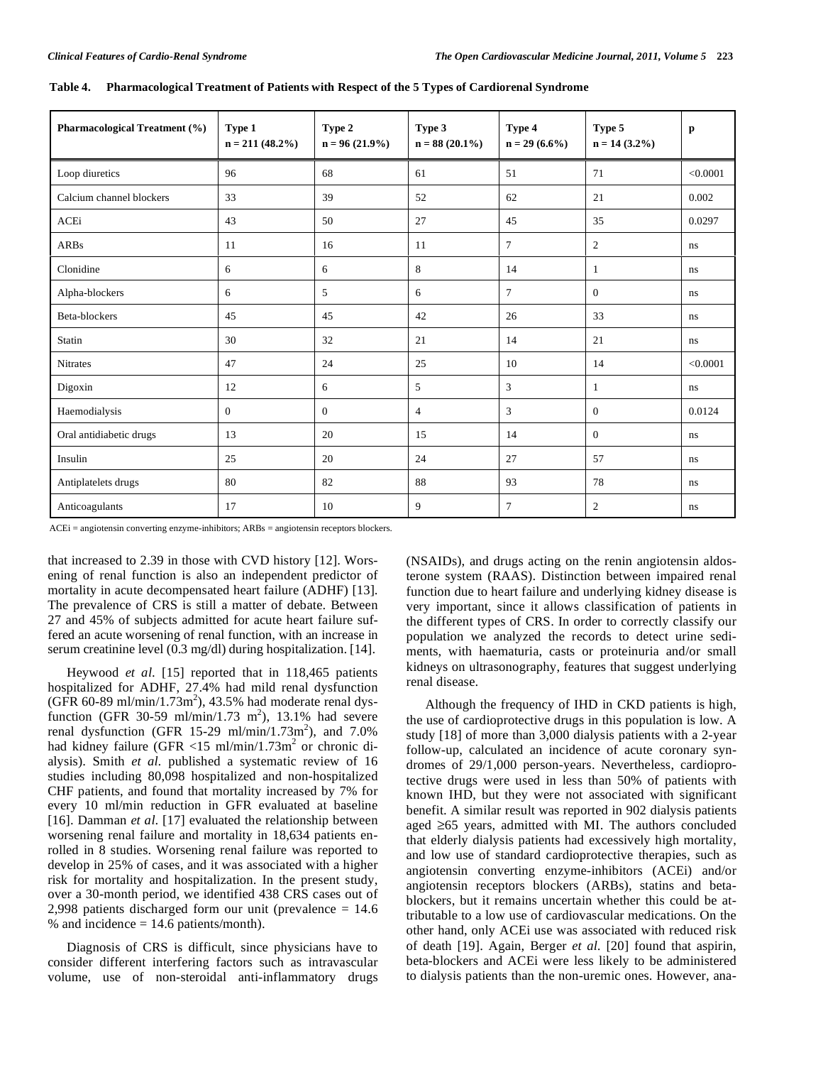| <b>Pharmacological Treatment (%)</b> | Type 1<br>$n = 211(48.2\%)$ | Type 2<br>$n = 96(21.9\%)$ | Type 3<br>$n = 88(20.1\%)$ | Type 4<br>$n = 29(6.6\%)$ | Type 5<br>$n = 14$ (3.2%) | $\mathbf{p}$ |
|--------------------------------------|-----------------------------|----------------------------|----------------------------|---------------------------|---------------------------|--------------|
| Loop diuretics                       | 96                          | 68                         | 61                         | 51                        | 71                        | < 0.0001     |
| Calcium channel blockers             | 33                          | 39                         | 52                         | 62                        | 21                        | 0.002        |
| ACEi                                 | 43                          | 50                         | 27                         | 45                        | 35                        | 0.0297       |
| ARBs                                 | 11                          | 16                         | 11                         | $\tau$                    | 2                         | ns           |
| Clonidine                            | 6                           | 6                          | 8                          | 14                        | 1                         | ns           |
| Alpha-blockers                       | 6                           | 5                          | 6                          | $\overline{7}$            | $\mathbf{0}$              | ns           |
| Beta-blockers                        | 45                          | 45                         | 42                         | 26                        | 33                        | ns           |
| Statin                               | 30                          | 32                         | 21                         | 14                        | 21                        | ns           |
| <b>Nitrates</b>                      | 47                          | 24                         | 25                         | 10                        | 14                        | < 0.0001     |
| Digoxin                              | 12                          | 6                          | 5                          | 3                         | -1                        | ns           |
| Haemodialysis                        | $\theta$                    | $\overline{0}$             | $\overline{4}$             | 3                         | $\theta$                  | 0.0124       |
| Oral antidiabetic drugs              | 13                          | 20                         | 15                         | 14                        | $\theta$                  | ns           |
| Insulin                              | 25                          | 20                         | 24                         | 27                        | 57                        | ns           |
| Antiplatelets drugs                  | 80                          | 82                         | 88                         | 93                        | 78                        | ns           |
| Anticoagulants                       | 17                          | 10                         | 9                          | $\overline{7}$            | 2                         | ns           |

**Table 4. Pharmacological Treatment of Patients with Respect of the 5 Types of Cardiorenal Syndrome** 

ACEi = angiotensin converting enzyme-inhibitors; ARBs = angiotensin receptors blockers.

that increased to 2.39 in those with CVD history [12]. Worsening of renal function is also an independent predictor of mortality in acute decompensated heart failure (ADHF) [13]. The prevalence of CRS is still a matter of debate. Between 27 and 45% of subjects admitted for acute heart failure suffered an acute worsening of renal function, with an increase in serum creatinine level (0.3 mg/dl) during hospitalization. [14].

 Heywood *et al*. [15] reported that in 118,465 patients hospitalized for ADHF, 27.4% had mild renal dysfunction  $(GFR 60-89 \text{ ml/min}/1.73 \text{m}^2)$ , 43.5% had moderate renal dysfunction (GFR 30-59 ml/min/1.73 m<sup>2</sup>), 13.1% had severe renal dysfunction (GFR 15-29 ml/min/1.73m<sup>2</sup>), and 7.0% had kidney failure (GFR <15 ml/min/1.73m<sup>2</sup> or chronic dialysis). Smith *et al.* published a systematic review of 16 studies including 80,098 hospitalized and non-hospitalized CHF patients, and found that mortality increased by 7% for every 10 ml/min reduction in GFR evaluated at baseline [16]. Damman *et al*. [17] evaluated the relationship between worsening renal failure and mortality in 18,634 patients enrolled in 8 studies. Worsening renal failure was reported to develop in 25% of cases, and it was associated with a higher risk for mortality and hospitalization. In the present study, over a 30-month period, we identified 438 CRS cases out of 2,998 patients discharged form our unit (prevalence  $= 14.6$ % and incidence  $= 14.6$  patients/month).

 Diagnosis of CRS is difficult, since physicians have to consider different interfering factors such as intravascular volume, use of non-steroidal anti-inflammatory drugs (NSAIDs), and drugs acting on the renin angiotensin aldosterone system (RAAS). Distinction between impaired renal function due to heart failure and underlying kidney disease is very important, since it allows classification of patients in the different types of CRS. In order to correctly classify our population we analyzed the records to detect urine sediments, with haematuria, casts or proteinuria and/or small kidneys on ultrasonography, features that suggest underlying renal disease.

 Although the frequency of IHD in CKD patients is high, the use of cardioprotective drugs in this population is low. A study [18] of more than 3,000 dialysis patients with a 2-year follow-up, calculated an incidence of acute coronary syndromes of 29/1,000 person-years. Nevertheless, cardioprotective drugs were used in less than 50% of patients with known IHD, but they were not associated with significant benefit. A similar result was reported in 902 dialysis patients aged  $\geq 65$  years, admitted with MI. The authors concluded that elderly dialysis patients had excessively high mortality, and low use of standard cardioprotective therapies, such as angiotensin converting enzyme-inhibitors (ACEi) and/or angiotensin receptors blockers (ARBs), statins and betablockers, but it remains uncertain whether this could be attributable to a low use of cardiovascular medications. On the other hand, only ACEi use was associated with reduced risk of death [19]. Again, Berger *et al.* [20] found that aspirin, beta-blockers and ACEi were less likely to be administered to dialysis patients than the non-uremic ones. However, ana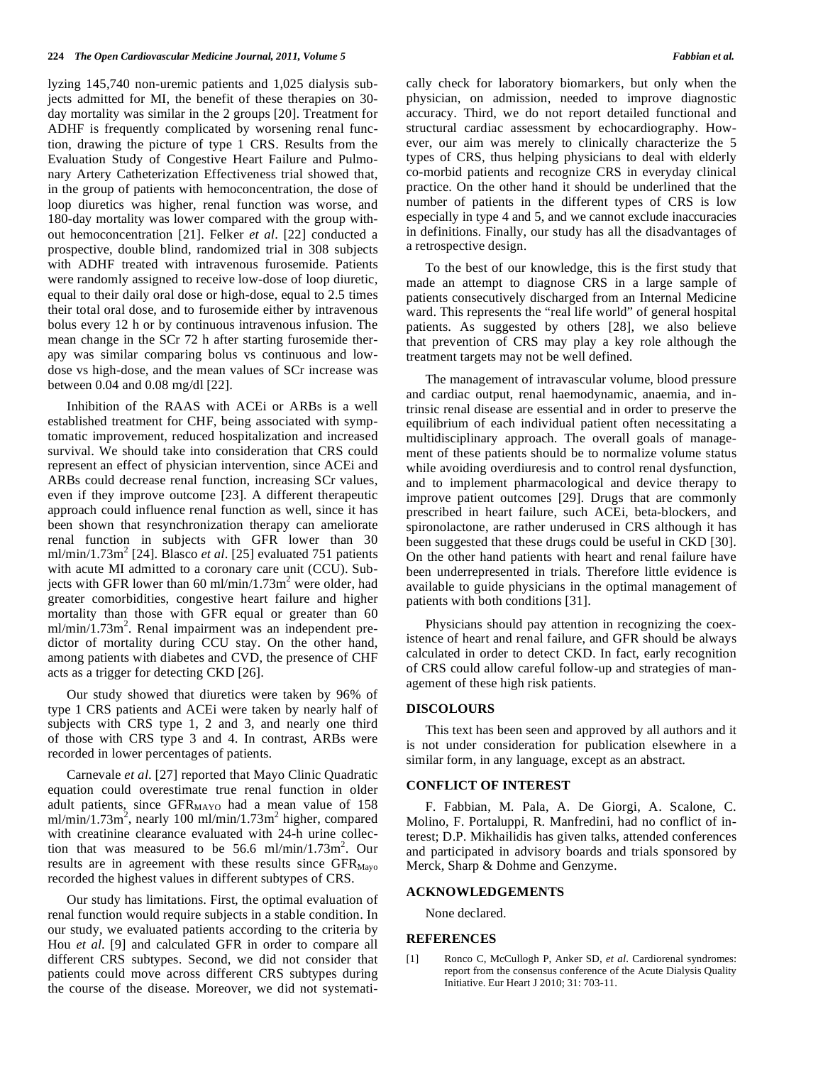lyzing 145,740 non-uremic patients and 1,025 dialysis subjects admitted for MI, the benefit of these therapies on 30 day mortality was similar in the 2 groups [20]. Treatment for ADHF is frequently complicated by worsening renal function, drawing the picture of type 1 CRS. Results from the Evaluation Study of Congestive Heart Failure and Pulmonary Artery Catheterization Effectiveness trial showed that, in the group of patients with hemoconcentration, the dose of loop diuretics was higher, renal function was worse, and 180-day mortality was lower compared with the group without hemoconcentration [21]. Felker *et al*. [22] conducted a prospective, double blind, randomized trial in 308 subjects with ADHF treated with intravenous furosemide. Patients were randomly assigned to receive low-dose of loop diuretic, equal to their daily oral dose or high-dose, equal to 2.5 times their total oral dose, and to furosemide either by intravenous bolus every 12 h or by continuous intravenous infusion. The mean change in the SCr 72 h after starting furosemide therapy was similar comparing bolus vs continuous and lowdose vs high-dose, and the mean values of SCr increase was between 0.04 and 0.08 mg/dl [22].

 Inhibition of the RAAS with ACEi or ARBs is a well established treatment for CHF, being associated with symptomatic improvement, reduced hospitalization and increased survival. We should take into consideration that CRS could represent an effect of physician intervention, since ACEi and ARBs could decrease renal function, increasing SCr values, even if they improve outcome [23]. A different therapeutic approach could influence renal function as well, since it has been shown that resynchronization therapy can ameliorate renal function in subjects with GFR lower than 30 ml/min/1.73m<sup>2</sup> [24]. Blasco *et al.* [25] evaluated 751 patients with acute MI admitted to a coronary care unit (CCU). Subjects with GFR lower than 60 ml/min/1.73m<sup>2</sup> were older, had greater comorbidities, congestive heart failure and higher mortality than those with GFR equal or greater than 60 ml/min/1.73m<sup>2</sup>. Renal impairment was an independent predictor of mortality during CCU stay. On the other hand, among patients with diabetes and CVD, the presence of CHF acts as a trigger for detecting CKD [26].

 Our study showed that diuretics were taken by 96% of type 1 CRS patients and ACEi were taken by nearly half of subjects with CRS type 1, 2 and 3, and nearly one third of those with CRS type 3 and 4. In contrast, ARBs were recorded in lower percentages of patients.

 Carnevale *et al*. [27] reported that Mayo Clinic Quadratic equation could overestimate true renal function in older adult patients, since  $GFR_{\text{MAYO}}$  had a mean value of 158 ml/min/1.73m<sup>2</sup>, nearly 100 ml/min/1.73m<sup>2</sup> higher, compared with creatinine clearance evaluated with 24-h urine collection that was measured to be 56.6 ml/min/1.73m<sup>2</sup>. Our results are in agreement with these results since GFR<sub>Mayo</sub> recorded the highest values in different subtypes of CRS.

 Our study has limitations. First, the optimal evaluation of renal function would require subjects in a stable condition. In our study, we evaluated patients according to the criteria by Hou *et al*. [9] and calculated GFR in order to compare all different CRS subtypes. Second, we did not consider that patients could move across different CRS subtypes during the course of the disease. Moreover, we did not systematically check for laboratory biomarkers, but only when the physician, on admission, needed to improve diagnostic accuracy. Third, we do not report detailed functional and structural cardiac assessment by echocardiography. However, our aim was merely to clinically characterize the 5 types of CRS, thus helping physicians to deal with elderly co-morbid patients and recognize CRS in everyday clinical practice. On the other hand it should be underlined that the number of patients in the different types of CRS is low especially in type 4 and 5, and we cannot exclude inaccuracies in definitions. Finally, our study has all the disadvantages of a retrospective design.

 To the best of our knowledge, this is the first study that made an attempt to diagnose CRS in a large sample of patients consecutively discharged from an Internal Medicine ward. This represents the "real life world" of general hospital patients. As suggested by others [28], we also believe that prevention of CRS may play a key role although the treatment targets may not be well defined.

 The management of intravascular volume, blood pressure and cardiac output, renal haemodynamic, anaemia, and intrinsic renal disease are essential and in order to preserve the equilibrium of each individual patient often necessitating a multidisciplinary approach. The overall goals of management of these patients should be to normalize volume status while avoiding overdiures is and to control renal dysfunction, and to implement pharmacological and device therapy to improve patient outcomes [29]. Drugs that are commonly prescribed in heart failure, such ACEi, beta-blockers, and spironolactone, are rather underused in CRS although it has been suggested that these drugs could be useful in CKD [30]. On the other hand patients with heart and renal failure have been underrepresented in trials. Therefore little evidence is available to guide physicians in the optimal management of patients with both conditions [31].

 Physicians should pay attention in recognizing the coexistence of heart and renal failure, and GFR should be always calculated in order to detect CKD. In fact, early recognition of CRS could allow careful follow-up and strategies of management of these high risk patients.

## **DISCOLOURS**

 This text has been seen and approved by all authors and it is not under consideration for publication elsewhere in a similar form, in any language, except as an abstract.

# **CONFLICT OF INTEREST**

 F. Fabbian, M. Pala, A. De Giorgi, A. Scalone, C. Molino, F. Portaluppi, R. Manfredini, had no conflict of interest; D.P. Mikhailidis has given talks, attended conferences and participated in advisory boards and trials sponsored by Merck, Sharp & Dohme and Genzyme.

# **ACKNOWLEDGEMENTS**

None declared.

#### **REFERENCES**

[1] Ronco C, McCullogh P, Anker SD, *et al*. Cardiorenal syndromes: report from the consensus conference of the Acute Dialysis Quality Initiative. Eur Heart J 2010; 31: 703-11.